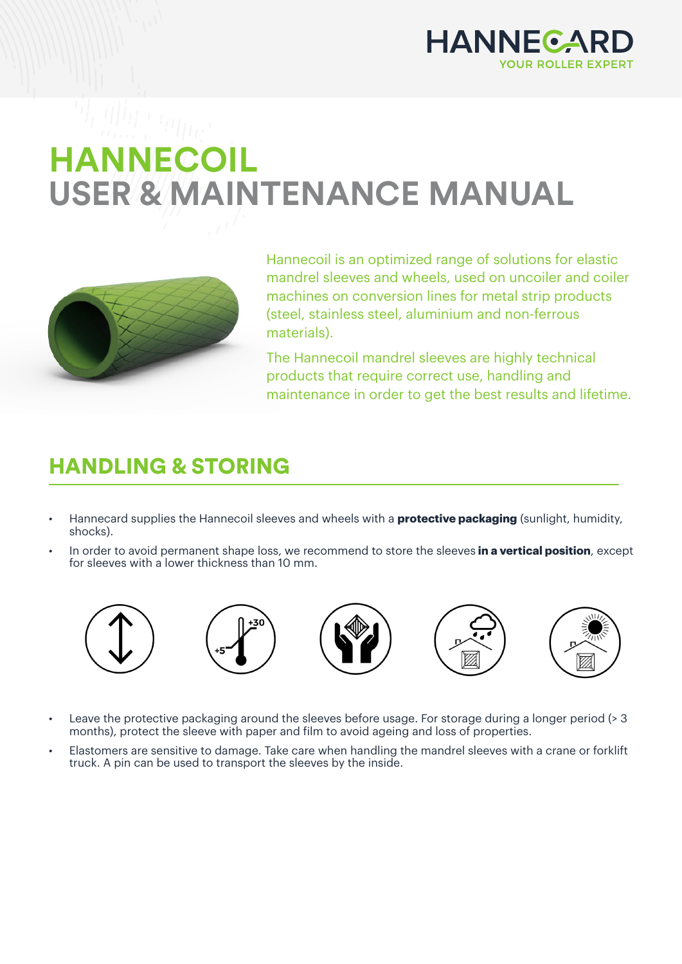

## **HANNECOIL USER & MAINTENANCE MANUAL**



Hannecoil is an optimized range of solutions for elastic mandrel sleeves and wheels, used on uncoiler and coiler machines on conversion lines for metal strip products (steel, stainless steel, aluminium and non-ferrous materials).

The Hannecoil mandrel sleeves are highly technical products that require correct use, handling and maintenance in order to get the best results and lifetime.

## HANDLING & STORING

- Hannecard supplies the Hannecoil sleeves and wheels with a **protective packaging** (sunlight, humidity, shocks).
- In order to avoid permanent shape loss, we recommend to store the sleeves **in a vertical position**, except for sleeves with a lower thickness than 10 mm.











- Leave the protective packaging around the sleeves before usage. For storage during a longer period (> 3 months), protect the sleeve with paper and film to avoid ageing and loss of properties.
- Elastomers are sensitive to damage. Take care when handling the mandrel sleeves with a crane or forklift truck. A pin can be used to transport the sleeves by the inside.